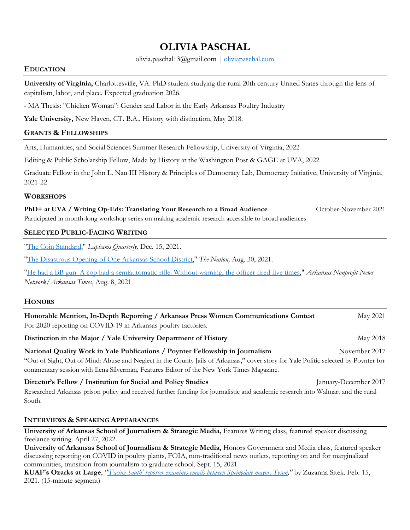# **OLIVIA PASCHAL**

olivia.paschal13@gmail.com | oliviapaschal.com

#### **EDUCATION**

**University of Virginia,** Charlottesville, VA. PhD student studying the rural 20th century United States through the lens of capitalism, labor, and place. Expected graduation 2026.

- MA Thesis: "Chicken Woman": Gender and Labor in the Early Arkansas Poultry Industry

**Yale University,** New Haven, CT**.** B.A., History with distinction, May 2018.

### **GRANTS & FELLOWSHIPS**

Arts, Humanities, and Social Sciences Summer Research Fellowship, University of Virginia, 2022

Editing & Public Scholarship Fellow, Made by History at the Washington Post & GAGE at UVA, 2022

Graduate Fellow in the John L. Nau III History & Principles of Democracy Lab, Democracy Initiative, University of Virginia, 2021-22

#### **WORKSHOPS**

**PhD+ at UVA / Writing Op-Eds: Translating Your Research to a Broad Audience** October-November 2021 Participated in month-long workshop series on making academic research accessible to broad audiences

## **SELECTED PUBLIC-FACING WRITING**

"The Coin Standard," *Laphams Quarterly,* Dec. 15, 2021.

"The Disastrous Opening of One Arkansas School District," *The Nation,* Aug. 30, 2021.

"He had a BB gun. A cop had a semiautomatic rifle. Without warning, the officer fired five times," *Arkansas Nonprofit News Network/Arkansas Times*, Aug. 8, 2021

## **HONORS**

South.

| Honorable Mention, In-Depth Reporting / Arkansas Press Women Communications Contest<br>For 2020 reporting on COVID-19 in Arkansas poultry factories.                                                                  | May 2021              |
|-----------------------------------------------------------------------------------------------------------------------------------------------------------------------------------------------------------------------|-----------------------|
| Distinction in the Major / Yale University Department of History                                                                                                                                                      | May 2018              |
| National Quality Work in Yale Publications / Poynter Fellowship in Journalism<br>"Out of Sight, Out of Mind: Abuse and Neglect in the County Jails of Arkansas," cover story for Yale Politic selected by Poynter for | November 2017         |
| commentary session with Ilena Silverman, Features Editor of the New York Times Magazine.                                                                                                                              |                       |
| Director's Fellow / Institution for Social and Policy Studies                                                                                                                                                         | January-December 2017 |
| Researched Arkansas prison policy and received further funding for journalistic and academic research into Walmart and the rural                                                                                      |                       |

#### **INTERVIEWS & SPEAKING APPEARANCES**

**University of Arkansas School of Journalism & Strategic Media, Features Writing class, featured speaker discussing** freelance writing. April 27, 2022.

**University of Arkansas School of Journalism & Strategic Media,** Honors Government and Media class, featured speaker discussing reporting on COVID in poultry plants, FOIA, non-traditional news outlets, reporting on and for marginalized communities, transition from journalism to graduate school. Sept. 15, 2021.

**KUAF's Ozarks at Large**, *"'Facing South' reporter examines emails between Springdale mayor, Tyson,"* by Zuzanna Sitek. Feb. 15, 2021. (15-minute segment)